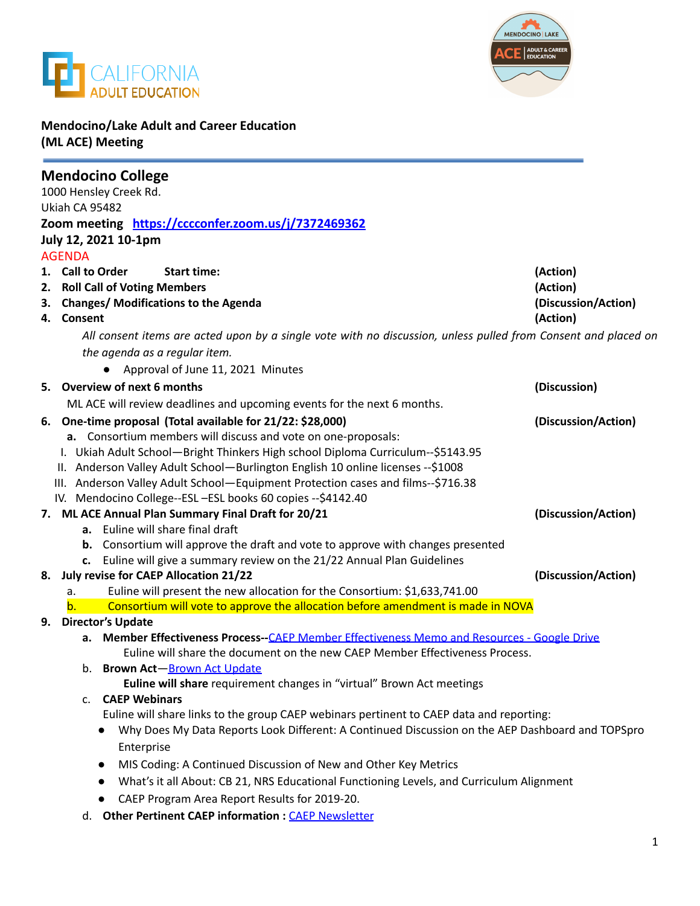



### **Mendocino/Lake Adult and Career Education (ML ACE) Meeting**

| 1000 Hensley Creek Rd.<br>Ukiah CA 95482<br>Zoom meeting https://cccconfer.zoom.us/j/7372469362<br>July 12, 2021 10-1pm<br><b>AGENDA</b>                                     |
|------------------------------------------------------------------------------------------------------------------------------------------------------------------------------|
|                                                                                                                                                                              |
|                                                                                                                                                                              |
|                                                                                                                                                                              |
|                                                                                                                                                                              |
|                                                                                                                                                                              |
| 1. Call to Order<br><b>Start time:</b><br>(Action)                                                                                                                           |
| 2. Roll Call of Voting Members<br>(Action)                                                                                                                                   |
| 3. Changes/ Modifications to the Agenda<br>(Discussion/Action)                                                                                                               |
| (Action)<br>4. Consent                                                                                                                                                       |
| All consent items are acted upon by a single vote with no discussion, unless pulled from Consent and placed on                                                               |
| the agenda as a regular item.                                                                                                                                                |
| Approval of June 11, 2021 Minutes                                                                                                                                            |
| 5. Overview of next 6 months<br>(Discussion)                                                                                                                                 |
| ML ACE will review deadlines and upcoming events for the next 6 months.                                                                                                      |
| 6. One-time proposal (Total available for 21/22: \$28,000)<br>(Discussion/Action)                                                                                            |
| a. Consortium members will discuss and vote on one-proposals:                                                                                                                |
| I. Ukiah Adult School-Bright Thinkers High school Diploma Curriculum--\$5143.95                                                                                              |
| II. Anderson Valley Adult School-Burlington English 10 online licenses -- \$1008                                                                                             |
| III. Anderson Valley Adult School-Equipment Protection cases and films--\$716.38                                                                                             |
| IV. Mendocino College--ESL -ESL books 60 copies -- \$4142.40                                                                                                                 |
| 7. ML ACE Annual Plan Summary Final Draft for 20/21<br>(Discussion/Action)                                                                                                   |
| a. Euline will share final draft                                                                                                                                             |
| b. Consortium will approve the draft and vote to approve with changes presented                                                                                              |
| Euline will give a summary review on the 21/22 Annual Plan Guidelines<br>c.                                                                                                  |
| July revise for CAEP Allocation 21/22<br>(Discussion/Action)<br>8.                                                                                                           |
| Euline will present the new allocation for the Consortium: \$1,633,741.00<br>a.                                                                                              |
| Consortium will vote to approve the allocation before amendment is made in NOVA<br>b.                                                                                        |
| <b>Director's Update</b><br>9.                                                                                                                                               |
| a. Member Effectiveness Process--CAEP Member Effectiveness Memo and Resources - Google Drive<br>Euline will share the document on the new CAEP Member Effectiveness Process. |
| b. Brown Act-Brown Act Update                                                                                                                                                |
| Euline will share requirement changes in "virtual" Brown Act meetings                                                                                                        |
| <b>CAEP Webinars</b><br>c.                                                                                                                                                   |
| Euline will share links to the group CAEP webinars pertinent to CAEP data and reporting:                                                                                     |
| Why Does My Data Reports Look Different: A Continued Discussion on the AEP Dashboard and TOPSpro                                                                             |
| Enterprise                                                                                                                                                                   |
| MIS Coding: A Continued Discussion of New and Other Key Metrics<br>$\bullet$                                                                                                 |
| What's it all About: CB 21, NRS Educational Functioning Levels, and Curriculum Alignment                                                                                     |
| $\bullet$                                                                                                                                                                    |
| CAEP Program Area Report Results for 2019-20.<br>Other Pertinent CAED information : CAED Newsletter                                                                          |

d. **Other Pertinent CAEP information :** CAEP [Newsletter](https://myemail.constantcontact.com/CA-State-Budget-for-2021-22-Gives-CAEP-Additional-Funds--CAEP-Annual-Plans-Due-in-NOVA-by-August-15th--New-Launch-Series-Alert--.html?soid=1114865855964&aid=P_7-6Wn6SjI)